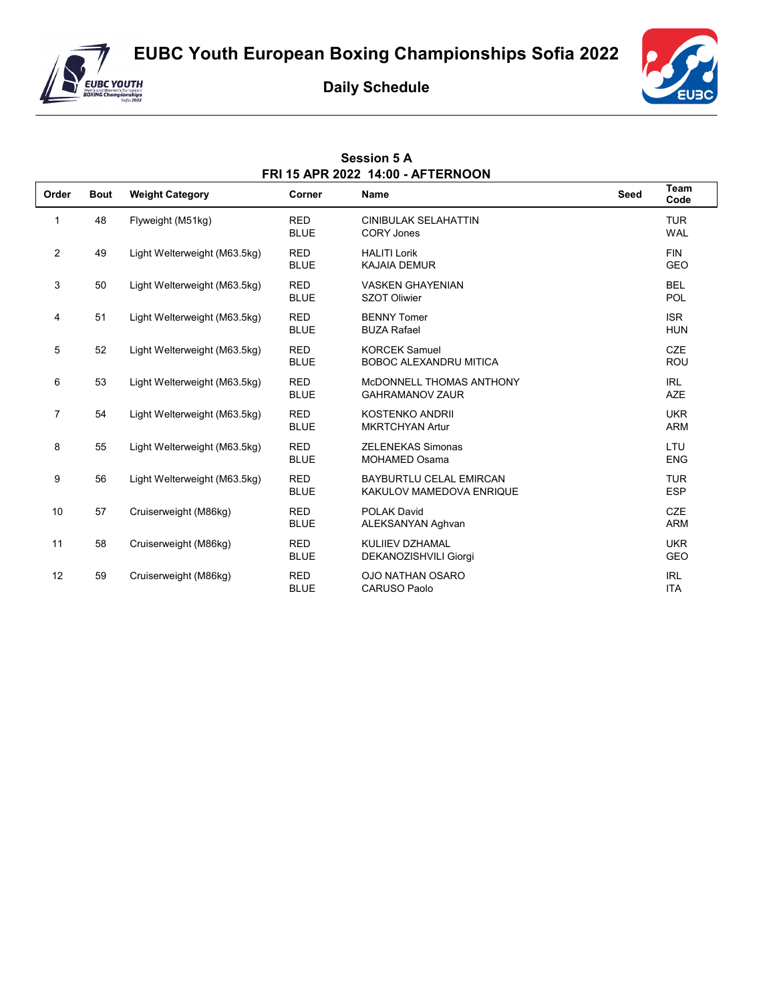



**Daily Schedule**

**Session 5 A**



| FRI 15 APR 2022 14:00 - AFTERNOON |             |                              |                           |                                                            |             |                          |  |
|-----------------------------------|-------------|------------------------------|---------------------------|------------------------------------------------------------|-------------|--------------------------|--|
| Order                             | <b>Bout</b> | <b>Weight Category</b>       | Corner                    | <b>Name</b>                                                | <b>Seed</b> | Team<br>Code             |  |
| 1                                 | 48          | Flyweight (M51kg)            | <b>RED</b><br><b>BLUE</b> | <b>CINIBULAK SELAHATTIN</b><br><b>CORY Jones</b>           |             | <b>TUR</b><br><b>WAL</b> |  |
| $\overline{2}$                    | 49          | Light Welterweight (M63.5kg) | <b>RED</b><br><b>BLUE</b> | <b>HALITI Lorik</b><br>KAJAIA DEMUR                        |             | <b>FIN</b><br><b>GEO</b> |  |
| 3                                 | 50          | Light Welterweight (M63.5kg) | <b>RED</b><br><b>BLUE</b> | <b>VASKEN GHAYENIAN</b><br><b>SZOT Oliwier</b>             |             | <b>BEL</b><br><b>POL</b> |  |
| 4                                 | 51          | Light Welterweight (M63.5kg) | <b>RED</b><br><b>BLUE</b> | <b>BENNY Tomer</b><br><b>BUZA Rafael</b>                   |             | <b>ISR</b><br><b>HUN</b> |  |
| 5                                 | 52          | Light Welterweight (M63.5kg) | <b>RED</b><br><b>BLUE</b> | <b>KORCEK Samuel</b><br><b>BOBOC ALEXANDRU MITICA</b>      |             | <b>CZE</b><br><b>ROU</b> |  |
| 6                                 | 53          | Light Welterweight (M63.5kg) | <b>RED</b><br><b>BLUE</b> | MCDONNELL THOMAS ANTHONY<br><b>GAHRAMANOV ZAUR</b>         |             | <b>IRL</b><br><b>AZE</b> |  |
| $\overline{7}$                    | 54          | Light Welterweight (M63.5kg) | <b>RED</b><br><b>BLUE</b> | <b>KOSTENKO ANDRII</b><br><b>MKRTCHYAN Artur</b>           |             | <b>UKR</b><br><b>ARM</b> |  |
| 8                                 | 55          | Light Welterweight (M63.5kg) | <b>RED</b><br><b>BLUE</b> | <b>ZELENEKAS Simonas</b><br><b>MOHAMED Osama</b>           |             | LTU<br><b>ENG</b>        |  |
| 9                                 | 56          | Light Welterweight (M63.5kg) | <b>RED</b><br><b>BLUE</b> | <b>BAYBURTLU CELAL EMIRCAN</b><br>KAKULOV MAMEDOVA ENRIQUE |             | <b>TUR</b><br><b>ESP</b> |  |
| 10                                | 57          | Cruiserweight (M86kg)        | <b>RED</b><br><b>BLUE</b> | <b>POLAK David</b><br>ALEKSANYAN Aghvan                    |             | <b>CZE</b><br><b>ARM</b> |  |
| 11                                | 58          | Cruiserweight (M86kg)        | <b>RED</b><br><b>BLUE</b> | KULIIEV DZHAMAL<br>DEKANOZISHVILI Giorgi                   |             | <b>UKR</b><br><b>GEO</b> |  |
| 12                                | 59          | Cruiserweight (M86kg)        | <b>RED</b><br><b>BLUE</b> | <b>OJO NATHAN OSARO</b><br><b>CARUSO Paolo</b>             |             | <b>IRL</b><br><b>ITA</b> |  |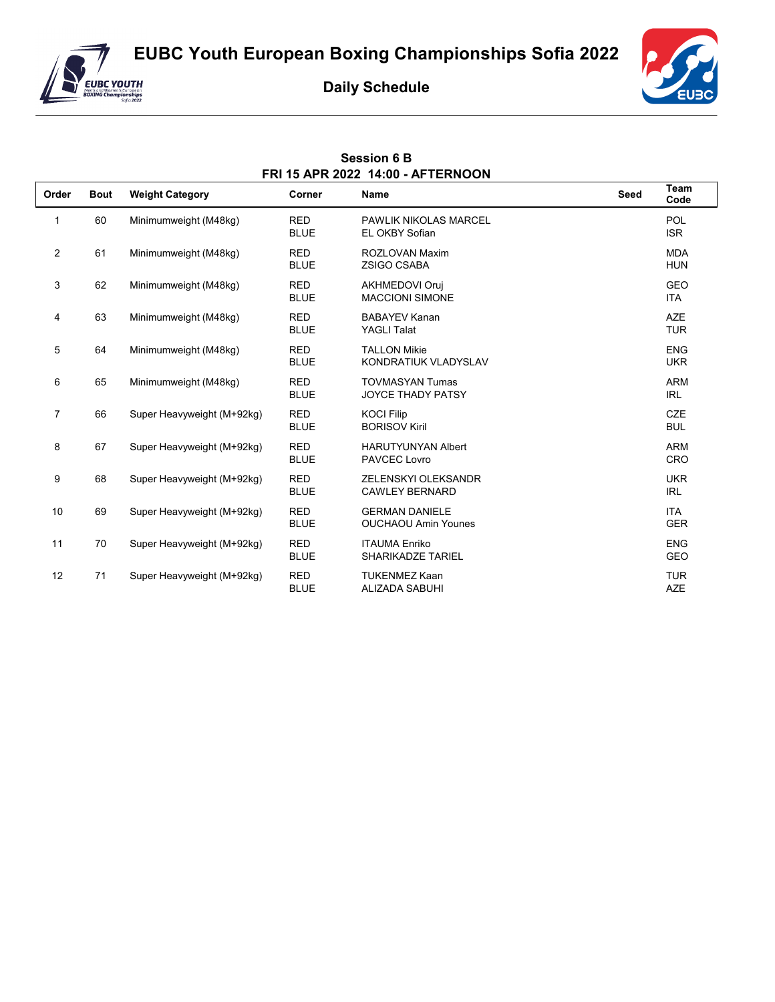



## **Daily Schedule**

**Session 6 B** 



| FRI 15 APR 2022 14:00 - AFTERNOON |             |                            |                           |                                                     |             |                          |  |
|-----------------------------------|-------------|----------------------------|---------------------------|-----------------------------------------------------|-------------|--------------------------|--|
| Order                             | <b>Bout</b> | <b>Weight Category</b>     | Corner                    | <b>Name</b>                                         | <b>Seed</b> | <b>Team</b><br>Code      |  |
| 1                                 | 60          | Minimumweight (M48kg)      | <b>RED</b><br><b>BLUE</b> | <b>PAWLIK NIKOLAS MARCEL</b><br>EL OKBY Sofian      |             | POL<br><b>ISR</b>        |  |
| $\overline{2}$                    | 61          | Minimumweight (M48kg)      | <b>RED</b><br><b>BLUE</b> | ROZLOVAN Maxim<br><b>ZSIGO CSABA</b>                |             | <b>MDA</b><br><b>HUN</b> |  |
| 3                                 | 62          | Minimumweight (M48kg)      | <b>RED</b><br><b>BLUE</b> | <b>AKHMEDOVI Oruj</b><br><b>MACCIONI SIMONE</b>     |             | <b>GEO</b><br><b>ITA</b> |  |
| 4                                 | 63          | Minimumweight (M48kg)      | <b>RED</b><br><b>BLUE</b> | <b>BABAYEV Kanan</b><br><b>YAGLI Talat</b>          |             | <b>AZE</b><br><b>TUR</b> |  |
| 5                                 | 64          | Minimumweight (M48kg)      | <b>RED</b><br><b>BLUE</b> | <b>TALLON Mikie</b><br>KONDRATIUK VLADYSLAV         |             | <b>ENG</b><br><b>UKR</b> |  |
| 6                                 | 65          | Minimumweight (M48kg)      | <b>RED</b><br><b>BLUE</b> | <b>TOVMASYAN Tumas</b><br>JOYCE THADY PATSY         |             | <b>ARM</b><br><b>IRL</b> |  |
| $\overline{7}$                    | 66          | Super Heavyweight (M+92kg) | <b>RED</b><br><b>BLUE</b> | <b>KOCI Filip</b><br><b>BORISOV Kiril</b>           |             | <b>CZE</b><br><b>BUL</b> |  |
| 8                                 | 67          | Super Heavyweight (M+92kg) | <b>RED</b><br><b>BLUE</b> | <b>HARUTYUNYAN Albert</b><br>PAVCEC Lovro           |             | <b>ARM</b><br><b>CRO</b> |  |
| 9                                 | 68          | Super Heavyweight (M+92kg) | <b>RED</b><br><b>BLUE</b> | ZELENSKYI OLEKSANDR<br><b>CAWLEY BERNARD</b>        |             | <b>UKR</b><br><b>IRL</b> |  |
| 10                                | 69          | Super Heavyweight (M+92kg) | <b>RED</b><br><b>BLUE</b> | <b>GERMAN DANIELE</b><br><b>OUCHAOU Amin Younes</b> |             | <b>ITA</b><br><b>GER</b> |  |
| 11                                | 70          | Super Heavyweight (M+92kg) | <b>RED</b><br><b>BLUE</b> | <b>ITAUMA Enriko</b><br><b>SHARIKADZE TARIEL</b>    |             | <b>ENG</b><br><b>GEO</b> |  |
| 12                                | 71          | Super Heavyweight (M+92kg) | <b>RED</b><br><b>BLUE</b> | <b>TUKENMEZ Kaan</b><br><b>ALIZADA SABUHI</b>       |             | <b>TUR</b><br><b>AZE</b> |  |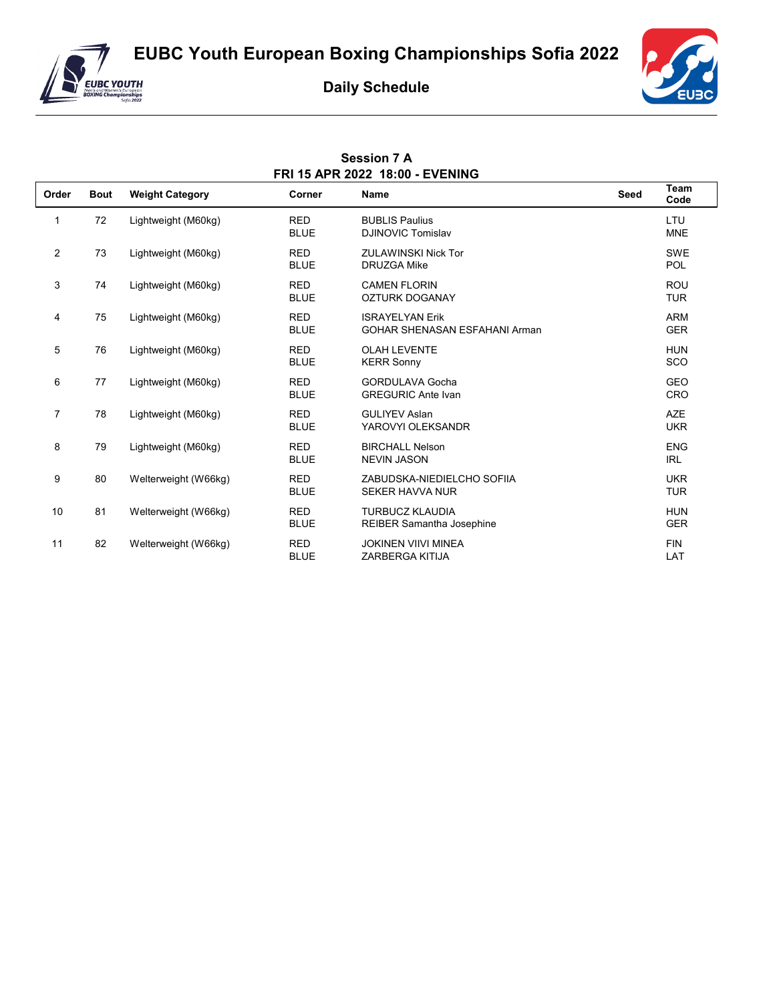**EUBC Youth European Boxing Championships Sofia 2022**



## **Daily Schedule**

**Session 7 A**



| FRI 15 APR 2022 18:00 - EVENING |             |                        |                           |                                                                |      |                          |  |
|---------------------------------|-------------|------------------------|---------------------------|----------------------------------------------------------------|------|--------------------------|--|
| Order                           | <b>Bout</b> | <b>Weight Category</b> | Corner                    | <b>Name</b>                                                    | Seed | Team<br>Code             |  |
| 1                               | 72          | Lightweight (M60kg)    | <b>RED</b><br><b>BLUE</b> | <b>BUBLIS Paulius</b><br>DJINOVIC Tomislav                     |      | LTU<br><b>MNE</b>        |  |
| $\overline{2}$                  | 73          | Lightweight (M60kg)    | <b>RED</b><br><b>BLUE</b> | <b>ZULAWINSKI Nick Tor</b><br><b>DRUZGA Mike</b>               |      | SWE<br>POL               |  |
| 3                               | 74          | Lightweight (M60kg)    | <b>RED</b><br><b>BLUE</b> | <b>CAMEN FLORIN</b><br><b>OZTURK DOGANAY</b>                   |      | <b>ROU</b><br><b>TUR</b> |  |
| 4                               | 75          | Lightweight (M60kg)    | <b>RED</b><br><b>BLUE</b> | <b>ISRAYELYAN Erik</b><br><b>GOHAR SHENASAN ESFAHANI Arman</b> |      | <b>ARM</b><br><b>GER</b> |  |
| 5                               | 76          | Lightweight (M60kg)    | <b>RED</b><br><b>BLUE</b> | <b>OLAH LEVENTE</b><br><b>KERR Sonny</b>                       |      | <b>HUN</b><br><b>SCO</b> |  |
| 6                               | 77          | Lightweight (M60kg)    | <b>RED</b><br><b>BLUE</b> | <b>GORDULAVA Gocha</b><br><b>GREGURIC Ante Ivan</b>            |      | <b>GEO</b><br><b>CRO</b> |  |
| 7                               | 78          | Lightweight (M60kg)    | <b>RED</b><br><b>BLUE</b> | <b>GULIYEV Aslan</b><br>YAROVYI OLEKSANDR                      |      | <b>AZE</b><br><b>UKR</b> |  |
| 8                               | 79          | Lightweight (M60kg)    | <b>RED</b><br><b>BLUE</b> | <b>BIRCHALL Nelson</b><br><b>NEVIN JASON</b>                   |      | <b>ENG</b><br><b>IRL</b> |  |
| 9                               | 80          | Welterweight (W66kg)   | <b>RED</b><br><b>BLUE</b> | ZABUDSKA-NIEDIELCHO SOFIIA<br><b>SEKER HAVVA NUR</b>           |      | <b>UKR</b><br><b>TUR</b> |  |
| 10                              | 81          | Welterweight (W66kg)   | <b>RED</b><br><b>BLUE</b> | <b>TURBUCZ KLAUDIA</b><br><b>REIBER Samantha Josephine</b>     |      | <b>HUN</b><br><b>GER</b> |  |
| 11                              | 82          | Welterweight (W66kg)   | <b>RED</b><br><b>BLUE</b> | <b>JOKINEN VIIVI MINEA</b><br><b>ZARBERGA KITIJA</b>           |      | <b>FIN</b><br>LAT        |  |